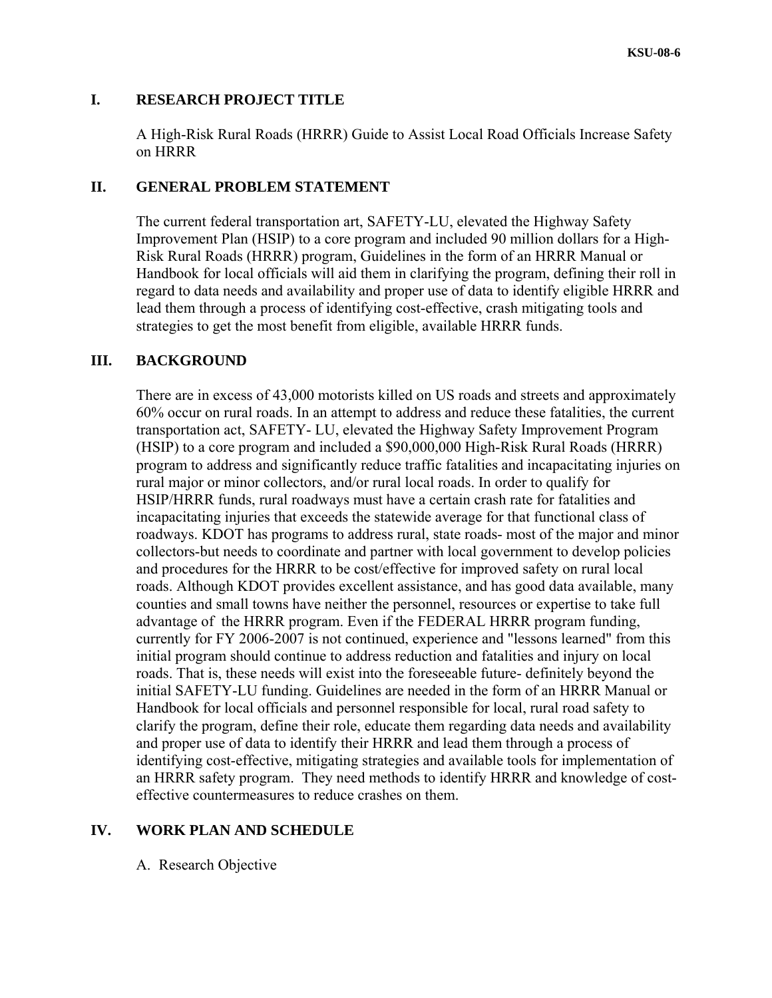## **I. RESEARCH PROJECT TITLE**

A High-Risk Rural Roads (HRRR) Guide to Assist Local Road Officials Increase Safety on HRRR

# **II. GENERAL PROBLEM STATEMENT**

The current federal transportation art, SAFETY-LU, elevated the Highway Safety Improvement Plan (HSIP) to a core program and included 90 million dollars for a High-Risk Rural Roads (HRRR) program, Guidelines in the form of an HRRR Manual or Handbook for local officials will aid them in clarifying the program, defining their roll in regard to data needs and availability and proper use of data to identify eligible HRRR and lead them through a process of identifying cost-effective, crash mitigating tools and strategies to get the most benefit from eligible, available HRRR funds.

# **III. BACKGROUND**

There are in excess of 43,000 motorists killed on US roads and streets and approximately 60% occur on rural roads. In an attempt to address and reduce these fatalities, the current transportation act, SAFETY- LU, elevated the Highway Safety Improvement Program (HSIP) to a core program and included a \$90,000,000 High-Risk Rural Roads (HRRR) program to address and significantly reduce traffic fatalities and incapacitating injuries on rural major or minor collectors, and/or rural local roads. In order to qualify for HSIP/HRRR funds, rural roadways must have a certain crash rate for fatalities and incapacitating injuries that exceeds the statewide average for that functional class of roadways. KDOT has programs to address rural, state roads- most of the major and minor collectors-but needs to coordinate and partner with local government to develop policies and procedures for the HRRR to be cost/effective for improved safety on rural local roads. Although KDOT provides excellent assistance, and has good data available, many counties and small towns have neither the personnel, resources or expertise to take full advantage of the HRRR program. Even if the FEDERAL HRRR program funding, currently for FY 2006-2007 is not continued, experience and "lessons learned" from this initial program should continue to address reduction and fatalities and injury on local roads. That is, these needs will exist into the foreseeable future- definitely beyond the initial SAFETY-LU funding. Guidelines are needed in the form of an HRRR Manual or Handbook for local officials and personnel responsible for local, rural road safety to clarify the program, define their role, educate them regarding data needs and availability and proper use of data to identify their HRRR and lead them through a process of identifying cost-effective, mitigating strategies and available tools for implementation of an HRRR safety program. They need methods to identify HRRR and knowledge of costeffective countermeasures to reduce crashes on them.

# **IV. WORK PLAN AND SCHEDULE**

A. Research Objective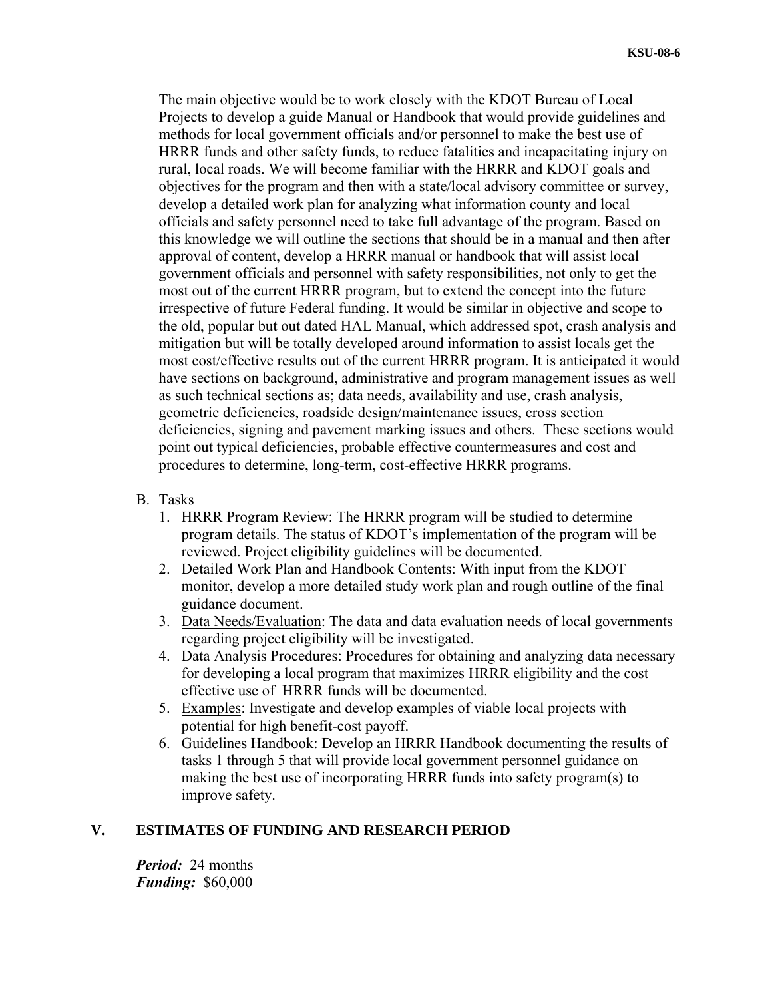The main objective would be to work closely with the KDOT Bureau of Local Projects to develop a guide Manual or Handbook that would provide guidelines and methods for local government officials and/or personnel to make the best use of HRRR funds and other safety funds, to reduce fatalities and incapacitating injury on rural, local roads. We will become familiar with the HRRR and KDOT goals and objectives for the program and then with a state/local advisory committee or survey, develop a detailed work plan for analyzing what information county and local officials and safety personnel need to take full advantage of the program. Based on this knowledge we will outline the sections that should be in a manual and then after approval of content, develop a HRRR manual or handbook that will assist local government officials and personnel with safety responsibilities, not only to get the most out of the current HRRR program, but to extend the concept into the future irrespective of future Federal funding. It would be similar in objective and scope to the old, popular but out dated HAL Manual, which addressed spot, crash analysis and mitigation but will be totally developed around information to assist locals get the most cost/effective results out of the current HRRR program. It is anticipated it would have sections on background, administrative and program management issues as well as such technical sections as; data needs, availability and use, crash analysis, geometric deficiencies, roadside design/maintenance issues, cross section deficiencies, signing and pavement marking issues and others. These sections would point out typical deficiencies, probable effective countermeasures and cost and procedures to determine, long-term, cost-effective HRRR programs.

- B. Tasks
	- 1. HRRR Program Review: The HRRR program will be studied to determine program details. The status of KDOT's implementation of the program will be reviewed. Project eligibility guidelines will be documented.
	- 2. Detailed Work Plan and Handbook Contents: With input from the KDOT monitor, develop a more detailed study work plan and rough outline of the final guidance document.
	- 3. Data Needs/Evaluation: The data and data evaluation needs of local governments regarding project eligibility will be investigated.
	- 4. Data Analysis Procedures: Procedures for obtaining and analyzing data necessary for developing a local program that maximizes HRRR eligibility and the cost effective use of HRRR funds will be documented.
	- 5. Examples: Investigate and develop examples of viable local projects with potential for high benefit-cost payoff.
	- 6. Guidelines Handbook: Develop an HRRR Handbook documenting the results of tasks 1 through 5 that will provide local government personnel guidance on making the best use of incorporating HRRR funds into safety program(s) to improve safety.

# **V. ESTIMATES OF FUNDING AND RESEARCH PERIOD**

*Period:* 24 months *Funding:* \$60,000